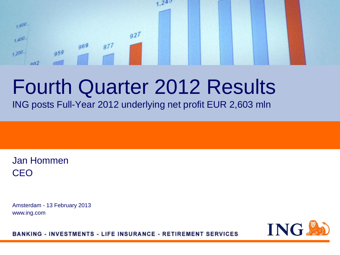#### $969$  $877$  $959$  $+200$  $002$ Fourth Quarter 2012 Results

 $24^{5}$ 

## ING posts Full-Year 2012 underlying net profit EUR 2,603 mln

 $927$ 

Jan Hommen CEO

 $1,600$ 

 $1.400 -$ 

Amsterdam - 13 February 2013 www.ing.com

ING.

**BANKING - INVESTMENTS - LIFE INSURANCE - RETIREMENT SERVICES**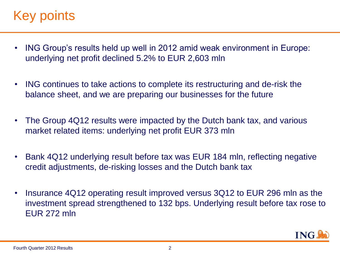### Key points.

- ING Group's results held up well in 2012 amid weak environment in Europe: underlying net profit declined 5.2% to EUR 2,603 mln
- ING continues to take actions to complete its restructuring and de-risk the balance sheet, and we are preparing our businesses for the future
- The Group 4Q12 results were impacted by the Dutch bank tax, and various market related items: underlying net profit EUR 373 mln
- Bank 4Q12 underlying result before tax was EUR 184 mln, reflecting negative credit adjustments, de-risking losses and the Dutch bank tax
- Insurance 4Q12 operating result improved versus 3Q12 to EUR 296 mln as the investment spread strengthened to 132 bps. Underlying result before tax rose to EUR 272 mln

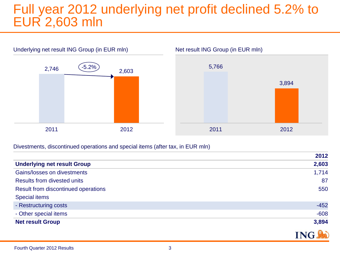#### Full year 2012 underlying net profit declined 5.2% to EUR 2,603 mln



Net result ING Group (in EUR mln)



#### Divestments, discontinued operations and special items (after tax, in EUR mln)

|                                     | 2012   |
|-------------------------------------|--------|
| <b>Underlying net result Group</b>  | 2,603  |
| Gains/losses on divestments         | 1,714  |
| <b>Results from divested units</b>  | 87     |
| Result from discontinued operations | 550    |
| <b>Special items</b>                |        |
| - Restructuring costs               | $-452$ |
| - Other special items               | $-608$ |
| <b>Net result Group</b>             | 3,894  |

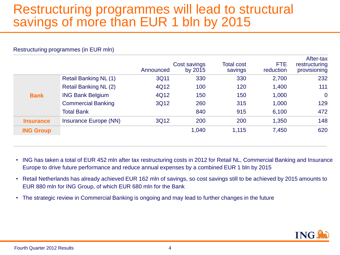#### Restructuring programmes will lead to structural savings of more than EUR 1 bln by 2015

#### Restructuring programmes (in EUR mln)

|                  |                              | Announced | Cost savings<br>by 2015 | <b>Total cost</b><br>savings | <b>FTE</b><br>reduction | After-tax<br>restructuring<br>provisioning |
|------------------|------------------------------|-----------|-------------------------|------------------------------|-------------------------|--------------------------------------------|
|                  | <b>Retail Banking NL (1)</b> | 3Q11      | 330                     | 330                          | 2,700                   | 232                                        |
|                  | <b>Retail Banking NL (2)</b> | 4Q12      | 100                     | 120                          | 1,400                   | 111                                        |
| <b>Bank</b>      | <b>ING Bank Belgium</b>      | 4Q12      | 150                     | 150                          | 1,000                   | $\overline{0}$                             |
|                  | <b>Commercial Banking</b>    | 3Q12      | 260                     | 315                          | 1,000                   | 129                                        |
|                  | <b>Total Bank</b>            |           | 840                     | 915                          | 6,100                   | 472                                        |
| <b>Insurance</b> | Insurance Europe (NN)        | 3Q12      | 200                     | 200                          | 1,350                   | 148                                        |
| <b>ING Group</b> |                              |           | 1,040                   | 1,115                        | 7,450                   | 620                                        |

- ING has taken a total of EUR 452 mln after tax restructuring costs in 2012 for Retail NL, Commercial Banking and Insurance Europe to drive future performance and reduce annual expenses by a combined EUR 1 bln by 2015
- Retail Netherlands has already achieved EUR 162 mln of savings, so cost savings still to be achieved by 2015 amounts to EUR 880 mln for ING Group, of which EUR 680 mln for the Bank
- The strategic review in Commercial Banking is ongoing and may lead to further changes in the future

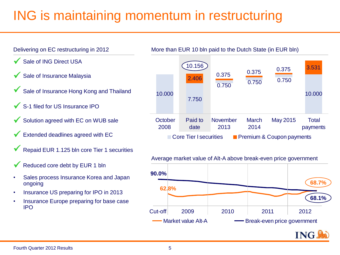### ING is maintaining momentum in restructuring

#### Delivering on EC restructuring in 2012

- Sale of ING Direct USA
- Sale of Insurance Malaysia
- Sale of Insurance Hong Kong and Thailand
- S-1 filed for US Insurance IPO
- Solution agreed with EC on WUB sale
- Extended deadlines agreed with EC
- Repaid EUR 1.125 bln core Tier 1 securities
- Reduced core debt by EUR 1 bln
- Sales process Insurance Korea and Japan ongoing
- Insurance US preparing for IPO in 2013
- Insurance Europe preparing for base case IPO

More than EUR 10 bln paid to the Dutch State (in EUR bln)



#### Average market value of Alt-A above break-even price government



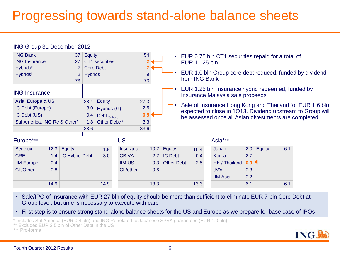#### Progressing towards stand-alone balance sheets



- Sale/IPO of Insurance with EUR 27 bln of equity should be more than sufficient to eliminate EUR 7 bln Core Debt at Group level, but time is necessary to execute with care
- First step is to ensure strong stand-alone balance sheets for the US and Europe as we prepare for base case of IPOs

\* Includes Sul America (EUR 0.4 bln) and ING Re related to Japanese SPVA guarantees (EUR 1.0 bln)

\*\* Excludes EUR 2.5 bln of Other Debt in the US

\*\*\* Pro-forma

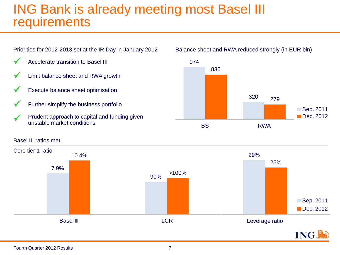#### ING Bank is already meeting most Basel III **requirements**





#### Fourth Quarter 2012 Results 7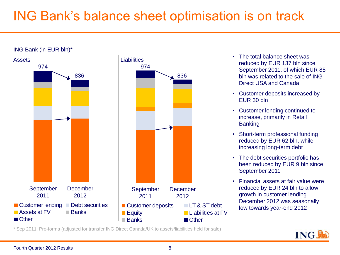### ING Bank's balance sheet optimisation is on track



• The total balance sheet was reduced by EUR 137 bln since September 2011, of which EUR 85 bln was related to the sale of ING Direct USA and Canada

- Customer deposits increased by EUR 30 bln
- Customer lending continued to increase, primarily in Retail **Banking**
- Short-term professional funding reduced by EUR 62 bln, while increasing long-term debt
- The debt securities portfolio has been reduced by EUR 9 bln since September 2011
- Financial assets at fair value were reduced by EUR 24 bln to allow growth in customer lending. December 2012 was seasonally low towards year-end 2012

\* Sep 2011: Pro-forma (adjusted for transfer ING Direct Canada/UK to assets/liabilities held for sale)

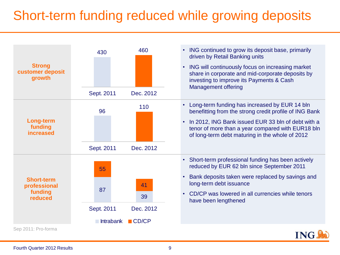### Short-term funding reduced while growing deposits

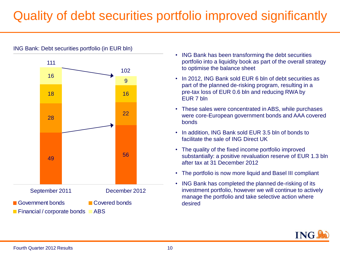### Quality of debt securities portfolio improved significantly



ING Bank: Debt securities portfolio (in EUR bln)

- ING Bank has been transforming the debt securities portfolio into a liquidity book as part of the overall strategy to optimise the balance sheet
- In 2012, ING Bank sold EUR 6 bln of debt securities as part of the planned de-risking program, resulting in a pre-tax loss of EUR 0.6 bln and reducing RWA by EUR 7 bln
- These sales were concentrated in ABS, while purchases were core-European government bonds and AAA covered bonds
- In addition, ING Bank sold EUR 3.5 bln of bonds to facilitate the sale of ING Direct UK
- The quality of the fixed income portfolio improved substantially: a positive revaluation reserve of EUR 1.3 bln after tax at 31 December 2012
- The portfolio is now more liquid and Basel III compliant
- ING Bank has completed the planned de-risking of its investment portfolio, however we will continue to actively manage the portfolio and take selective action where desired

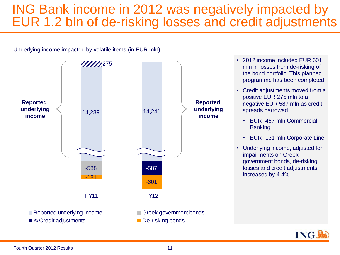#### ING Bank income in 2012 was negatively impacted by EUR 1.2 bln of de-risking losses and credit adjustments

#### Underlying income impacted by volatile items (in EUR mln)



- 2012 income included EUR 601 mln in losses from de-risking of the bond portfolio. This planned programme has been completed
- Credit adjustments moved from a positive EUR 275 mln to a negative EUR 587 mln as credit spreads narrowed
	- EUR -457 mln Commercial **Banking**
	- EUR -131 mln Corporate Line
- Underlying income, adjusted for impairments on Greek government bonds, de-risking losses and credit adjustments,

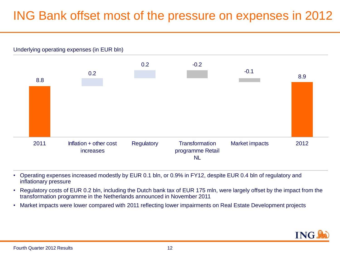#### ING Bank offset most of the pressure on expenses in 2012



- Operating expenses increased modestly by EUR 0.1 bln, or 0.9% in FY12, despite EUR 0.4 bln of regulatory and inflationary pressure
- Regulatory costs of EUR 0.2 bln, including the Dutch bank tax of EUR 175 mln, were largely offset by the impact from the transformation programme in the Netherlands announced in November 2011
- Market impacts were lower compared with 2011 reflecting lower impairments on Real Estate Development projects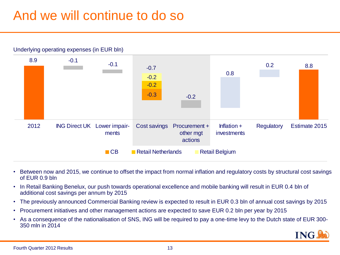### And we will continue to do so.



- Between now and 2015, we continue to offset the impact from normal inflation and regulatory costs by structural cost savings of EUR 0.9 bln
- In Retail Banking Benelux, our push towards operational excellence and mobile banking will result in EUR 0.4 bln of additional cost savings per annum by 2015
- The previously announced Commercial Banking review is expected to result in EUR 0.3 bln of annual cost savings by 2015
- Procurement initiatives and other management actions are expected to save EUR 0.2 bln per year by 2015
- As a consequence of the nationalisation of SNS, ING will be required to pay a one-time levy to the Dutch state of EUR 300- 350 mln in 2014

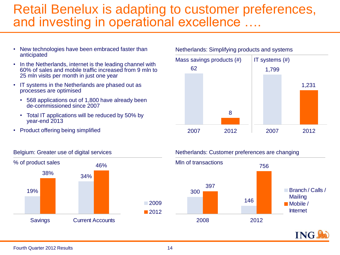#### Retail Benelux is adapting to customer preferences, and investing in operational excellence ....

- New technologies have been embraced faster than anticipated
- In the Netherlands, internet is the leading channel with 60% of sales and mobile traffic increased from 9 mln to 25 mln visits per month in just one year
- IT systems in the Netherlands are phased out as processes are optimised
	- 568 applications out of 1,800 have already been de-commissioned since 2007
	- Total IT applications will be reduced by 50% by year-end 2013
- Product offering being simplified



#### Netherlands: Simplifying products and systems



#### Belgium: Greater use of digital services

19%

#### Netherlands: Customer preferences are changing

146

756

Branch / Calls /

**ING** 

Mailing ■ Mobile / **Internet**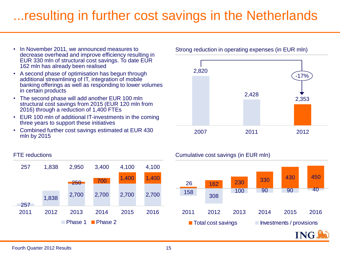### ...resulting in further cost savings in the Netherlands

- In November 2011, we announced measures to Strong reduction in operating expenses (in EUR mln) decrease overhead and improve efficiency resulting in EUR 330 mln of structural cost savings. To date EUR 162 mln has already been realised
- A second phase of optimisation has begun through additional streamlining of IT, integration of mobile banking offerings as well as responding to lower volumes in certain products
- The second phase will add another EUR 100 mln structural cost savings from 2015 (EUR 120 mln from 2016) through a reduction of 1,400 FTEs
- EUR 100 mln of additional IT-investments in the coming three years to support these initiatives
- Combined further cost savings estimated at EUR 430 mln by 2015

1,838 2,700 2,700 2,700 2,700

2011 2012 2013 2014 2015 2016 Phase 1 Phase 2

257 1,838 2,950 3,400 4,100 4,100

<sup>250</sup> <sup>700</sup> 1,400 1,400



#### FTE reductions **Cumulative cost savings (in EUR mln)**



#### **Fourth Quarter 2012 Results 15**

257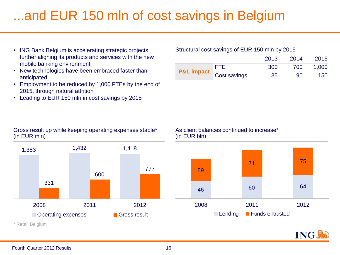### ...and EUR 150 mln of cost savings in Belgium

- ING Bank Belgium is accelerating strategic projects further aligning its products and services with the new mobile banking environment
- New technologies have been embraced faster than anticipated
- Employment to be reduced by 1,000 FTEs by the end of 2015, through natural attrition
- Leading to EUR 150 mln in cost savings by 2015

#### Gross result up while keeping operating expenses stable\* (in EUR mln)



#### Structural cost savings of EUR 150 mln by 2015

|                       |              | 2013 | 2014 | 2015  |
|-----------------------|--------------|------|------|-------|
| <b>P&amp;L impact</b> | FTE.         | 300  | 700  | 1,000 |
|                       | Cost savings | 35   | 90   | 150   |

As client balances continued to increase\* (in EUR bln)



**ING** 

#### Fourth Quarter 2012 Results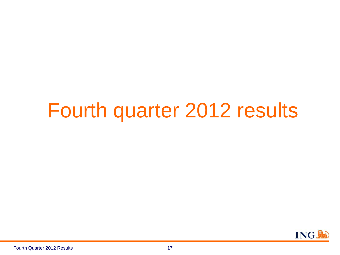## Fourth quarter 2012 results

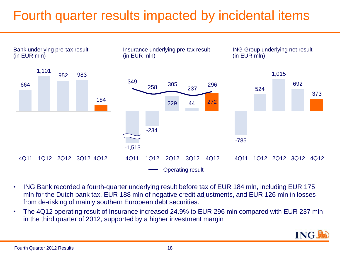### Fourth quarter results impacted by incidental items



- ING Bank recorded a fourth-quarter underlying result before tax of EUR 184 mln, including EUR 175 mln for the Dutch bank tax, EUR 188 mln of negative credit adjustments, and EUR 126 mln in losses from de-risking of mainly southern European debt securities.
- The 4Q12 operating result of Insurance increased 24.9% to EUR 296 mln compared with EUR 237 mln in the third quarter of 2012, supported by a higher investment margin

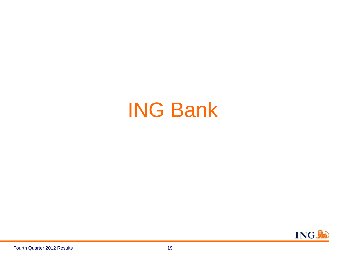## ING Bank

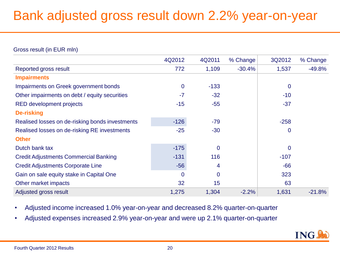### Bank adjusted gross result down 2.2% year-on-year

#### Gross result (in EUR mln)

|                                                 | 4Q2012      | 4Q2011      | % Change | 3Q2012      | % Change |
|-------------------------------------------------|-------------|-------------|----------|-------------|----------|
| Reported gross result                           | 772         | 1,109       | $-30.4%$ | 1,537       | $-49.8%$ |
| <b>Impairments</b>                              |             |             |          |             |          |
| Impairments on Greek government bonds           | 0           | $-133$      |          | $\mathbf 0$ |          |
| Other impairments on debt / equity securities   | $-7$        | $-32$       |          | $-10$       |          |
| <b>RED development projects</b>                 | $-15$       | $-55$       |          | $-37$       |          |
| <b>De-risking</b>                               |             |             |          |             |          |
| Realised losses on de-risking bonds investments | $-126$      | $-79$       |          | $-258$      |          |
| Realised losses on de-risking RE investments    | $-25$       | $-30$       |          | $\mathbf 0$ |          |
| <b>Other</b>                                    |             |             |          |             |          |
| Dutch bank tax                                  | $-175$      | $\mathbf 0$ |          | $\mathbf 0$ |          |
| <b>Credit Adjustments Commercial Banking</b>    | $-131$      | 116         |          | $-107$      |          |
| <b>Credit Adjustments Corporate Line</b>        | $-56$       | 4           |          | $-66$       |          |
| Gain on sale equity stake in Capital One        | $\mathbf 0$ | $\mathbf 0$ |          | 323         |          |
| Other market impacts                            | 32          | 15          |          | 63          |          |
| Adjusted gross result                           | 1,275       | 1,304       | $-2.2%$  | 1,631       | $-21.8%$ |
|                                                 |             |             |          |             |          |

- Adjusted income increased 1.0% year-on-year and decreased 8.2% quarter-on-quarter
- Adjusted expenses increased 2.9% year-on-year and were up 2.1% quarter-on-quarter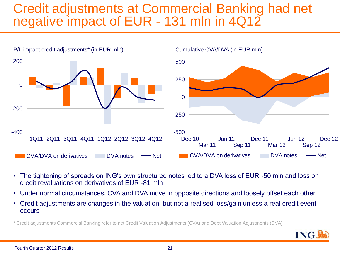#### Credit adjustments at Commercial Banking had net negative impact of EUR - 131 mln in 4Q12



- The tightening of spreads on ING's own structured notes led to a DVA loss of EUR -50 mln and loss on credit revaluations on derivatives of EUR -81 mln
- Under normal circumstances, CVA and DVA move in opposite directions and loosely offset each other
- Credit adjustments are changes in the valuation, but not a realised loss/gain unless a real credit event **occurs**

\* Credit adjustments Commercial Banking refer to net Credit Valuation Adjustments (CVA) and Debt Valuation Adjustments (DVA)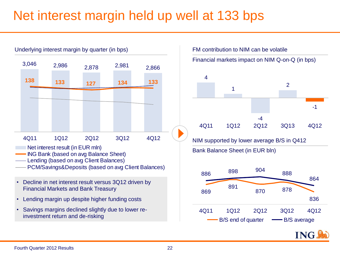### Net interest margin held up well at 133 bps



<sup>•</sup> Savings margins declined slightly due to lower reinvestment return and de-risking



B/S end of quarter  $\longrightarrow$  B/S average

**ING**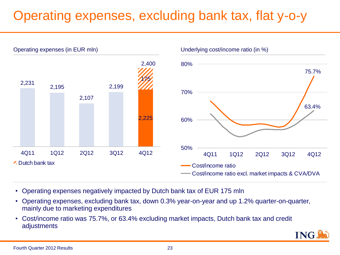### Operating expenses, excluding bank tax, flat y-o-y



- Operating expenses negatively impacted by Dutch bank tax of EUR 175 mln
- Operating expenses, excluding bank tax, down 0.3% year-on-year and up 1.2% quarter-on-quarter, mainly due to marketing expenditures
- Cost/income ratio was 75.7%, or 63.4% excluding market impacts, Dutch bank tax and credit adjustments

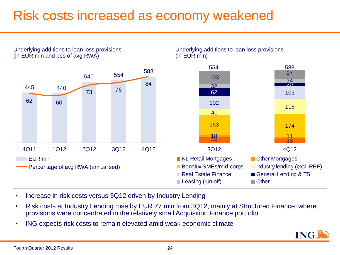#### Risk costs increased as economy weakened



- Increase in risk costs versus 3Q12 driven by Industry Lending
- Risk costs at Industry Lending rose by EUR 77 mln from 3Q12, mainly at Structured Finance, where provisions were concentrated in the relatively small Acquisition Finance portfolio
- ING expects risk costs to remain elevated amid weak economic climate

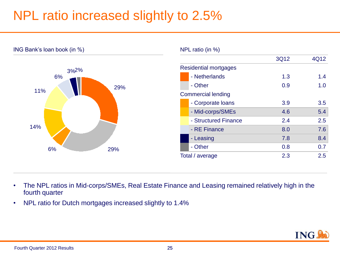### NPL ratio increased slightly to 2.5%



- The NPL ratios in Mid-corps/SMEs, Real Estate Finance and Leasing remained relatively high in the fourth quarter
- NPL ratio for Dutch mortgages increased slightly to 1.4%

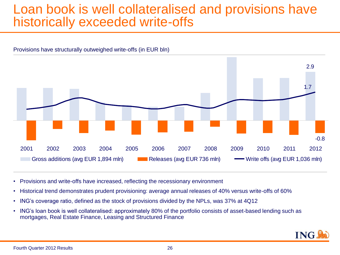#### Loan book is well collateralised and provisions have historically exceeded write-offs



Provisions have structurally outweighed write-offs (in EUR bln)

- Provisions and write-offs have increased, reflecting the recessionary environment
- Historical trend demonstrates prudent provisioning: average annual releases of 40% versus write-offs of 60%
- ING's coverage ratio, defined as the stock of provisions divided by the NPLs, was 37% at 4Q12
- ING's loan book is well collateralised: approximately 80% of the portfolio consists of asset-based lending such as mortgages, Real Estate Finance, Leasing and Structured Finance

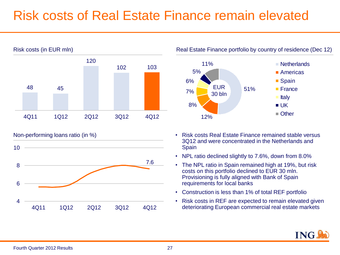### Risk costs of Real Estate Finance remain elevated







- Non-performing loans ratio (in %) Risk costs Real Estate Finance remained stable versus 3Q12 and were concentrated in the Netherlands and Spain
	- NPL ratio declined slightly to 7.6%, down from 8.0%
	- The NPL ratio in Spain remained high at 19%, but risk costs on this portfolio declined to EUR 30 mln. Provisioning is fully aligned with Bank of Spain requirements for local banks
	- Construction is less than 1% of total REF portfolio
	- Risk costs in REF are expected to remain elevated given deteriorating European commercial real estate markets

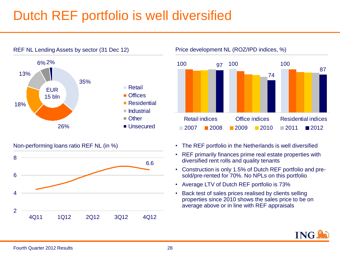### Dutch REF portfolio is well diversified



#### Non-performing loans ratio REF NL (in %)



REF NL Lending Assets by sector (31 Dec 12) Price development NL (ROZ/IPD indices, %)



- The REF portfolio in the Netherlands is well diversified
- REF primarily finances prime real estate properties with diversified rent rolls and quality tenants
- Construction is only 1.5% of Dutch REF portfolio and presold/pre-rented for 70%. No NPLs on this portfolio
- Average LTV of Dutch REF portfolio is 73%
- Back test of sales prices realised by clients selling properties since 2010 shows the sales price to be on average above or in line with REF appraisals

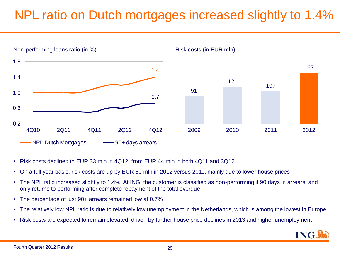### NPL ratio on Dutch mortgages increased slightly to 1.4%



- Risk costs declined to EUR 33 mln in 4Q12, from EUR 44 mln in both 4Q11 and 3Q12
- On a full year basis, risk costs are up by EUR 60 mln in 2012 versus 2011, mainly due to lower house prices
- The NPL ratio increased slightly to 1.4%. At ING, the customer is classified as non-performing if 90 days in arrears, and only returns to performing after complete repayment of the total overdue
- The percentage of just 90+ arrears remained low at 0.7%
- The relatively low NPL ratio is due to relatively low unemployment in the Netherlands, which is among the lowest in Europe
- Risk costs are expected to remain elevated, driven by further house price declines in 2013 and higher unemployment

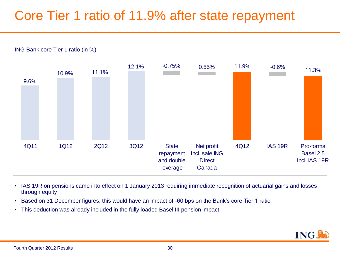### Core Tier 1 ratio of 11.9% after state repayment



- IAS 19R on pensions came into effect on 1 January 2013 requiring immediate recognition of actuarial gains and losses through equity
- Based on 31 December figures, this would have an impact of -60 bps on the Bank's core Tier 1 ratio
- This deduction was already included in the fully loaded Basel III pension impact

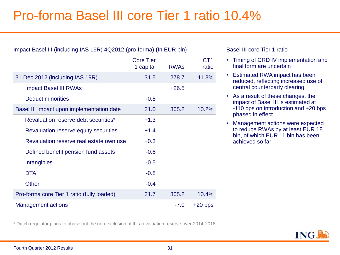### Pro-forma Basel III core Tier 1 ratio 10.4%

| Impact Basel III (including IAS 19R) 4Q2012 (pro-forma) (In EUR bln) |                               |             |                          |  |
|----------------------------------------------------------------------|-------------------------------|-------------|--------------------------|--|
|                                                                      | <b>Core Tier</b><br>1 capital | <b>RWAs</b> | CT <sub>1</sub><br>ratio |  |
| 31 Dec 2012 (including IAS 19R)                                      | 31.5                          | 278.7       | 11.3%                    |  |
| <b>Impact Basel III RWAs</b>                                         |                               | $+26.5$     |                          |  |
| <b>Deduct minorities</b>                                             | $-0.5$                        |             |                          |  |
| Basel III impact upon implementation date                            | 31.0                          | 305.2       | 10.2%                    |  |
| Revaluation reserve debt securities*                                 | $+1.3$                        |             |                          |  |
| Revaluation reserve equity securities                                | $+1.4$                        |             |                          |  |
| Revaluation reserve real estate own use                              | $+0.3$                        |             |                          |  |
| Defined benefit pension fund assets                                  | $-0.6$                        |             |                          |  |
| <b>Intangibles</b>                                                   | $-0.5$                        |             |                          |  |
| <b>DTA</b>                                                           | $-0.8$                        |             |                          |  |
| <b>Other</b>                                                         | $-0.4$                        |             |                          |  |
| Pro-forma core Tier 1 ratio (fully loaded)                           | 31.7                          | 305.2       | 10.4%                    |  |
| <b>Management actions</b>                                            |                               | $-7.0$      | $+20$ bps                |  |

#### Basel III core Tier 1 ratio

- Timing of CRD IV implementation and final form are uncertain
- Estimated RWA impact has been reduced, reflecting increased use of central counterparty clearing
- As a result of these changes, the impact of Basel III is estimated at -110 bps on introduction and +20 bps phased in effect
- Management actions were expected to reduce RWAs by at least EUR 18 bln, of which EUR 11 bln has been achieved so far

\* Dutch regulator plans to phase out the non-exclusion of this revaluation reserve over 2014-2018

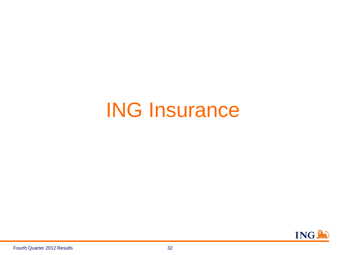# ING Insurance

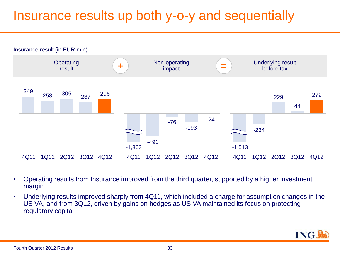### Insurance results up both y-o-y and sequentially



- Operating results from Insurance improved from the third quarter, supported by a higher investment margin
- Underlying results improved sharply from 4Q11, which included a charge for assumption changes in the US VA, and from 3Q12, driven by gains on hedges as US VA maintained its focus on protecting regulatory capital

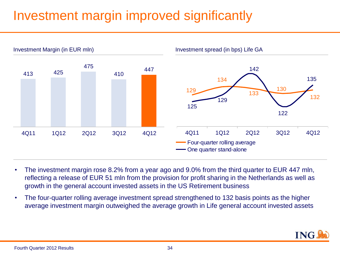### Investment margin improved significantly



- The investment margin rose 8.2% from a year ago and 9.0% from the third quarter to EUR 447 mln, reflecting a release of EUR 51 mln from the provision for profit sharing in the Netherlands as well as growth in the general account invested assets in the US Retirement business
- The four-quarter rolling average investment spread strengthened to 132 basis points as the higher average investment margin outweighed the average growth in Life general account invested assets

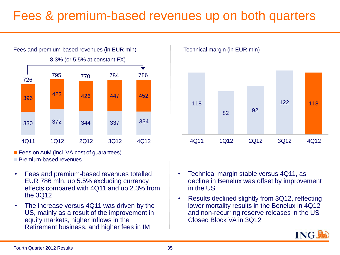#### Fees & premium-based revenues up on both quarters



**F** Fees on AuM (incl. VA cost of quarantees) **Premium-based revenues** 

- Fees and premium-based revenues totalled EUR 786 mln, up 5.5% excluding currency effects compared with 4Q11 and up 2.3% from the 3Q12
- The increase versus 4Q11 was driven by the US, mainly as a result of the improvement in equity markets, higher inflows in the Retirement business, and higher fees in IM



- Technical margin stable versus 4Q11, as decline in Benelux was offset by improvement in the US
- Results declined slightly from 3Q12, reflecting lower mortality results in the Benelux in 4Q12 and non-recurring reserve releases in the US Closed Block VA in 3Q12

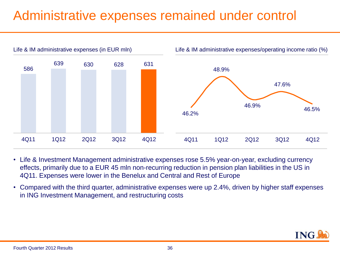### Administrative expenses remained under control



- Life & Investment Management administrative expenses rose 5.5% year-on-year, excluding currency effects, primarily due to a EUR 45 mln non-recurring reduction in pension plan liabilities in the US in 4Q11. Expenses were lower in the Benelux and Central and Rest of Europe
- Compared with the third quarter, administrative expenses were up 2.4%, driven by higher staff expenses in ING Investment Management, and restructuring costs

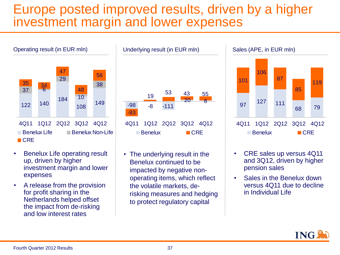#### Europe posted improved results, driven by a higher investment margin and lower expenses



- Benelux Life operating result up, driven by higher investment margin and lower expenses
- A release from the provision for profit sharing in the Netherlands helped offset the impact from de-risking and low interest rates



• The underlying result in the Benelux continued to be impacted by negative nonoperating items, which reflect the volatile markets, derisking measures and hedging to protect regulatory capital



- CRE sales up versus 4Q11 and 3Q12, driven by higher pension sales
- Sales in the Benelux down versus 4Q11 due to decline in Individual Life

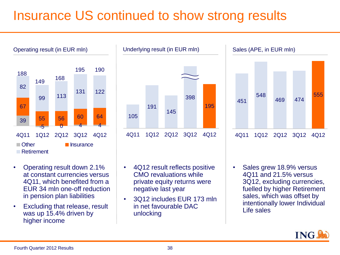### Insurance US continued to show strong results







- Excluding that release, result was up 15.4% driven by higher income
- 4Q12 result reflects positive CMO revaluations while private equity returns were negative last year
- 3Q12 includes EUR 173 mln in net favourable DAC unlocking



Sales grew 18.9% versus 4Q11 and 21.5% versus 3Q12, excluding currencies, fuelled by higher Retirement sales, which was offset by intentionally lower Individual Life sales

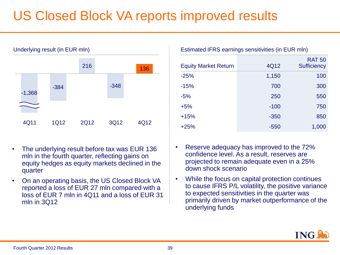### US Closed Block VA reports improved results



- The underlying result before tax was EUR 136 mln in the fourth quarter, reflecting gains on equity hedges as equity markets declined in the quarter
- On an operating basis, the US Closed Block VA reported a loss of EUR 27 mln compared with a loss of EUR 7 mln in 4Q11 and a loss of EUR 31 mln in 3Q12

Estimated IFRS earnings sensitivities (in EUR mln)

| <b>Equity Market Return</b> | 4Q12   | <b>RAT 50</b><br><b>Sufficiency</b> |
|-----------------------------|--------|-------------------------------------|
| $-25%$                      | 1,150  | 100                                 |
| $-15%$                      | 700    | 300                                 |
| $-5%$                       | 250    | 550                                 |
| $+5%$                       | $-100$ | 750                                 |
| $+15%$                      | $-350$ | 850                                 |
| $+25%$                      | $-550$ | 1,000                               |

- Reserve adequacy has improved to the 72% confidence level. As a result, reserves are projected to remain adequate even in a 25% down shock scenario
- While the focus on capital protection continues to cause IFRS P/L volatility, the positive variance to expected sensitivities in the quarter was primarily driven by market outperformance of the underlying funds



Fourth Quarter 2012 Results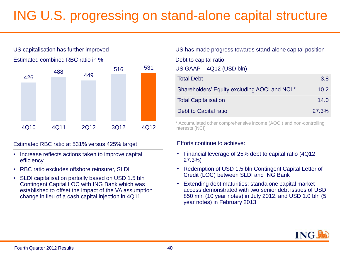## ING U.S. progressing on stand-alone capital structure



Estimated RBC ratio at 531% versus 425% target

- Increase reflects actions taken to improve capital efficiency
- RBC ratio excludes offshore reinsurer, SLDI
- SLDI capitalisation partially based on USD 1.5 bln Contingent Capital LOC with ING Bank which was established to offset the impact of the VA assumption change in lieu of a cash capital injection in 4Q11

| US has made progress towards stand-alone capital position |       |  |  |
|-----------------------------------------------------------|-------|--|--|
| Debt to capital ratio<br>US GAAP $-$ 4Q12 (USD bln)       |       |  |  |
| <b>Total Debt</b>                                         | 3.8   |  |  |
| Shareholders' Equity excluding AOCI and NCI *             | 10.2  |  |  |
| <b>Total Capitalisation</b>                               | 14.0  |  |  |
| Debt to Capital ratio                                     | 27.3% |  |  |

\* Accumulated other comprehensive income (AOCI) and non-controlling interests (NCI)

#### Efforts continue to achieve:

- Financial leverage of 25% debt to capital ratio (4Q12 27.3%)
- Redemption of USD 1.5 bln Contingent Capital Letter of Credit (LOC) between SLDI and ING Bank
- Extending debt maturities: standalone capital market access demonstrated with two senior debt issues of USD 850 mln (10 year notes) in July 2012, and USD 1.0 bln (5 year notes) in February 2013

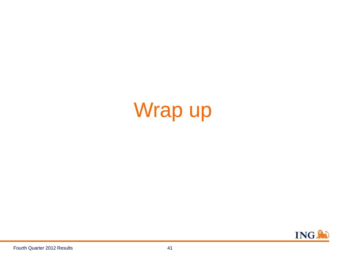# Wrap up

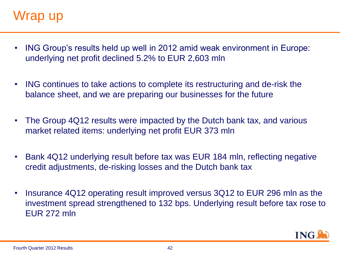### Wrap up

- ING Group's results held up well in 2012 amid weak environment in Europe: underlying net profit declined 5.2% to EUR 2,603 mln
- ING continues to take actions to complete its restructuring and de-risk the balance sheet, and we are preparing our businesses for the future
- The Group 4Q12 results were impacted by the Dutch bank tax, and various market related items: underlying net profit EUR 373 mln
- Bank 4Q12 underlying result before tax was EUR 184 mln, reflecting negative credit adjustments, de-risking losses and the Dutch bank tax
- Insurance 4Q12 operating result improved versus 3Q12 to EUR 296 mln as the investment spread strengthened to 132 bps. Underlying result before tax rose to EUR 272 mln